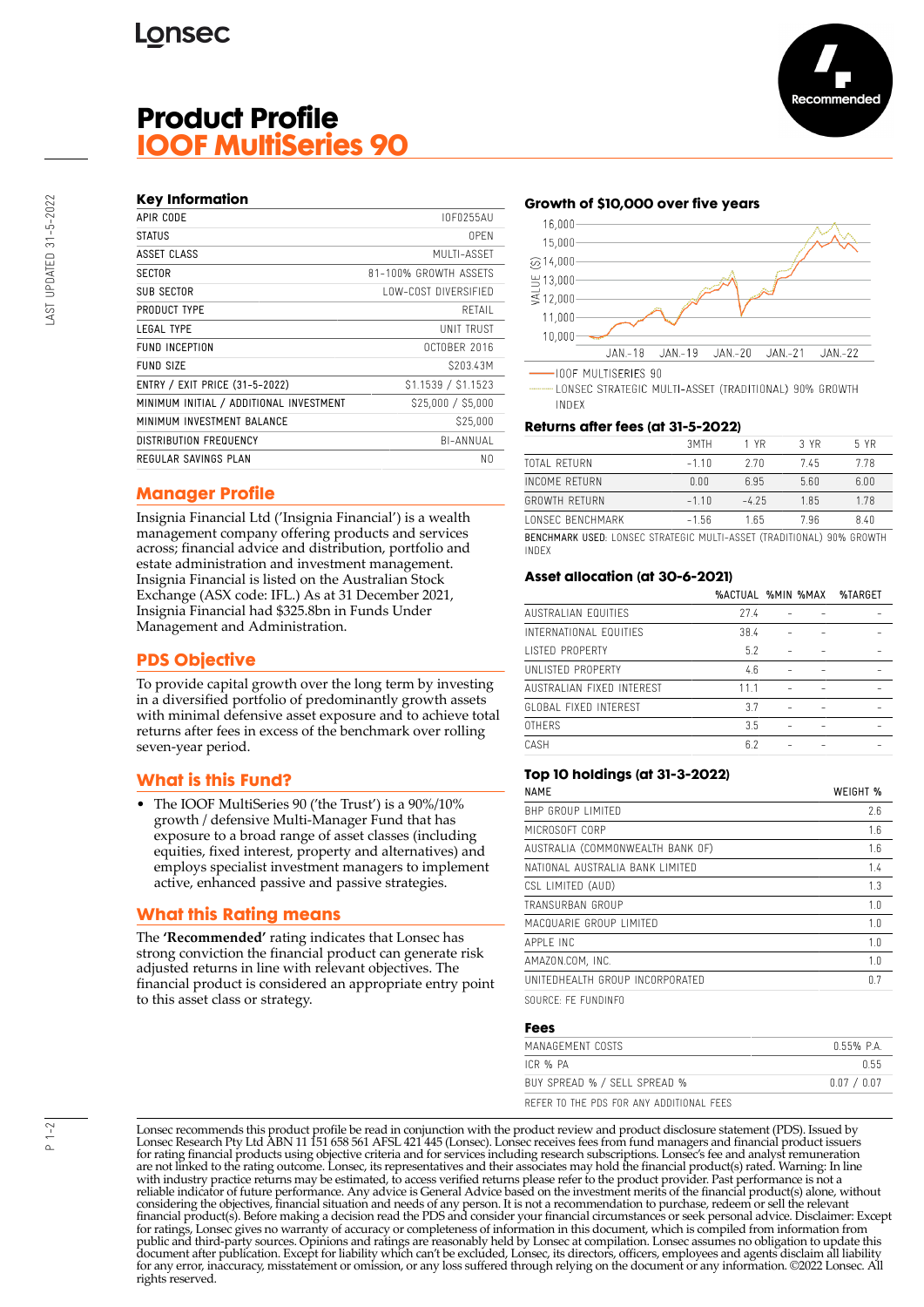# **Product Profile IOOF MultiSeries 90**

## **Key Information**

| APIR CODE                               | IOF0255AU             |
|-----------------------------------------|-----------------------|
| <b>STATUS</b>                           | 0PFN                  |
| ASSET CLASS                             | MUITI-ASSFT           |
| <b>SECTOR</b>                           | 81-100% GROWTH ASSETS |
| <b>SUB SECTOR</b>                       | LOW-COST DIVERSIFIED  |
| PRODUCT TYPE                            | RETAIL                |
| LEGAL TYPE                              | UNIT TRUST            |
| FUND INCEPTION                          | OCTOBER 2016          |
| FUND SIZE                               | S203.43M              |
| ENTRY / EXIT PRICE (31-5-2022)          | \$1.1539 / \$1.1523   |
| MINIMUM INITIAL / ADDITIONAL INVESTMENT | \$25,000 / \$5,000    |
| MINIMUM INVESTMENT BALANCE              | \$25,000              |
| <b>DISTRIBUTION FREQUENCY</b>           | BI-ANNUAL             |
| REGULAR SAVINGS PLAN                    | N0                    |
|                                         |                       |

## **Manager Profile**

Insignia Financial Ltd ('Insignia Financial') is a wealth management company offering products and services across; financial advice and distribution, portfolio and estate administration and investment management. Insignia Financial is listed on the Australian Stock Exchange (ASX code: IFL.) As at 31 December 2021, Insignia Financial had \$325.8bn in Funds Under Management and Administration.

## **PDS Objective**

To provide capital growth over the long term by investing in a diversified portfolio of predominantly growth assets with minimal defensive asset exposure and to achieve total returns after fees in excess of the benchmark over rolling seven-year period.

## **What is this Fund?**

• The IOOF MultiSeries 90 ('the Trust') is a 90%/10% growth / defensive Multi-Manager Fund that has exposure to a broad range of asset classes (including equities, fixed interest, property and alternatives) and employs specialist investment managers to implement active, enhanced passive and passive strategies.

## **What this Rating means**

The **'Recommended'** rating indicates that Lonsec has strong conviction the financial product can generate risk adjusted returns in line with relevant objectives. The financial product is considered an appropriate entry point to this asset class or strategy.

#### **Growth of \$10,000 over five years**



LONSEC STRATEGIC MULTI-ASSET (TRADITIONAL) 90% GROWTH INDEX

#### **Returns after fees (at 31-5-2022)**

| LONSEC BENCHMARK     | $-1.56$ | 165    | 7.96 | 8.40 |
|----------------------|---------|--------|------|------|
|                      |         |        |      |      |
| <b>GROWTH RETURN</b> | $-110$  | $-425$ | 185  | 1.78 |
| INCOME RETURN        | 0.00    | 6.95   | 5.60 | 6.00 |
| TOTAL RETURN         | $-110$  | 270    | 745  | 778  |
|                      | 3MTH    | 1 YR   | 3 YR | 5 YR |
|                      |         |        |      |      |

BENCHMARK USED: LONSEC STRATEGIC MULTI-ASSET (TRADITIONAL) 90% GROWTH INDEX

## **Asset allocation (at 30-6-2021)**

|                           | %ACTUAL %MIN %MAX |  | %TARGET |
|---------------------------|-------------------|--|---------|
| AUSTRALIAN FOUITIES       | 77.4              |  |         |
| INTERNATIONAL EQUITIES    | 38.4              |  |         |
| <b>LISTED PROPERTY</b>    | 5.2               |  |         |
| UNLISTED PROPERTY         | 4.6               |  |         |
| AUSTRALIAN FIXED INTEREST | 111               |  |         |
| GLOBAL FIXED INTEREST     | 3.7               |  |         |
| <b>OTHERS</b>             | 3.5               |  |         |
| CASH                      | 6.2               |  |         |
|                           |                   |  |         |

#### **Top 10 holdings (at 31-3-2022)**

| <b>NAMF</b>                      | WEIGHT % |
|----------------------------------|----------|
| <b>BHP GROUP LIMITED</b>         | 2.6      |
| MICROSOFT CORP                   | 1.6      |
| AUSTRALIA (COMMONWEALTH BANK OF) | 1.6      |
| NATIONAL AUSTRALIA BANK LIMITED  | 1.4      |
| CSL LIMITED (AUD)                | 1.3      |
| TRANSURBAN GROUP                 | 1.0      |
| MACQUARIE GROUP LIMITED          | 1.0      |
| APPI F INC                       | 1.0      |
| AMAZON.COM. INC.                 | 1.0      |
| UNITEDHEALTH GROUP INCORPORATED  | 0.7      |
|                                  |          |

SOURCE: FE FUNDINFO

#### **Fees**

| MANAGEMENT COSTS                         | 055% PA     |
|------------------------------------------|-------------|
| ICR % PA                                 | በ 55        |
| BUY SPREAD % / SELL SPREAD %             | 0.07 / 0.07 |
| REFER TO THE PDS FOR ANY ADDITIONAL FEES |             |

Lonsec recommends this product profile be read in conjunction with the product review and product disclosure statement (PDS). Issued by Lonsec Research Pty Ltd ABN 11 151 658 561 AFSL 421 445 (Lonsec). Lonsec receives fees from fund managers and financial product issuers for rating financial products using objective criteria and for services including research subscriptions. Lonsec's fee and analyst remuneration are not linked to the rating outcome. Lonsec, its representatives and their associates may hold the financial product(s) rated. Warning: In line with industry practice returns may be estimated, to access verified returns please refer to the product provider. Past performance is not a reliable indicator of future performance. Any advice is General Advice based on the investment merits of the financial product(s) alone, without considering the objectives, financial situation and needs of any person. It is not a recommendation to purchase, redeem or sell the relevant<br>financial product(s). Before making a decision read the PDS and consider your fin public and third-party sources. Opinions and ratings are reasonably held by Lonsec at compilation. Lonsec assumes no obligation to update this document after publication. Except for liability which can't be excluded, Lonsec, its directors, officers, employees and agents disclaim all liability for any error, inaccuracy, misstatement or omission, or any loss suffered through relying on the document or any information. ©2022 Lonsec. All rights reserved.